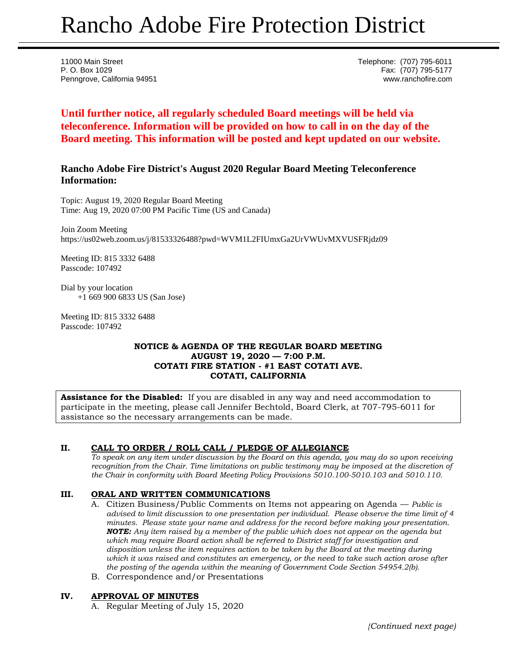# Rancho Adobe Fire Protection District

11000 Main Street Telephone: (707) 795-6011 P. O. Box 1029 Fax: (707) 795-5177 Penngrove, California 94951 www.ranchofire.com

**Until further notice, all regularly scheduled Board meetings will be held via teleconference. Information will be provided on how to call in on the day of the Board meeting. This information will be posted and kept updated on our website.**

## **Rancho Adobe Fire District's August 2020 Regular Board Meeting Teleconference Information:**

Topic: August 19, 2020 Regular Board Meeting Time: Aug 19, 2020 07:00 PM Pacific Time (US and Canada)

Join Zoom Meeting https://us02web.zoom.us/j/81533326488?pwd=WVM1L2FIUmxGa2UrVWUvMXVUSFRjdz09

Meeting ID: 815 3332 6488 Passcode: 107492

Dial by your location +1 669 900 6833 US (San Jose)

Meeting ID: 815 3332 6488 Passcode: 107492

#### **NOTICE & AGENDA OF THE REGULAR BOARD MEETING AUGUST 19, 2020 — 7:00 P.M. COTATI FIRE STATION - #1 EAST COTATI AVE. COTATI, CALIFORNIA**

**Assistance for the Disabled:** If you are disabled in any way and need accommodation to participate in the meeting, please call Jennifer Bechtold, Board Clerk, at 707-795-6011 for assistance so the necessary arrangements can be made.

## **II. CALL TO ORDER / ROLL CALL / PLEDGE OF ALLEGIANCE**

*To speak on any item under discussion by the Board on this agenda, you may do so upon receiving recognition from the Chair. Time limitations on public testimony may be imposed at the discretion of the Chair in conformity with Board Meeting Policy Provisions 5010.100-5010.103 and 5010.110.*

## **III. ORAL AND WRITTEN COMMUNICATIONS**

- A. Citizen Business/Public Comments on Items not appearing on Agenda *Public is advised to limit discussion to one presentation per individual. Please observe the time limit of 4 minutes. Please state your name and address for the record before making your presentation. NOTE: Any item raised by a member of the public which does not appear on the agenda but which may require Board action shall be referred to District staff for investigation and disposition unless the item requires action to be taken by the Board at the meeting during which it was raised and constitutes an emergency, or the need to take such action arose after the posting of the agenda within the meaning of Government Code Section 54954.2(b).*
- B. Correspondence and/or Presentations

## **IV. APPROVAL OF MINUTES**

A. Regular Meeting of July 15, 2020